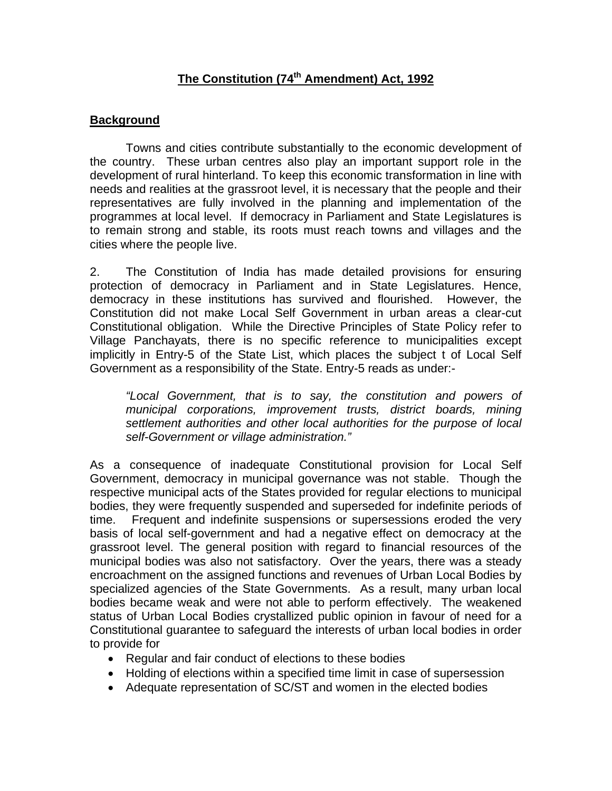## **The Constitution (74th Amendment) Act, 1992**

## **Background**

 Towns and cities contribute substantially to the economic development of the country. These urban centres also play an important support role in the development of rural hinterland. To keep this economic transformation in line with needs and realities at the grassroot level, it is necessary that the people and their representatives are fully involved in the planning and implementation of the programmes at local level. If democracy in Parliament and State Legislatures is to remain strong and stable, its roots must reach towns and villages and the cities where the people live.

2. The Constitution of India has made detailed provisions for ensuring protection of democracy in Parliament and in State Legislatures. Hence, democracy in these institutions has survived and flourished. However, the Constitution did not make Local Self Government in urban areas a clear-cut Constitutional obligation. While the Directive Principles of State Policy refer to Village Panchayats, there is no specific reference to municipalities except implicitly in Entry-5 of the State List, which places the subject t of Local Self Government as a responsibility of the State. Entry-5 reads as under:-

*"Local Government, that is to say, the constitution and powers of municipal corporations, improvement trusts, district boards, mining settlement authorities and other local authorities for the purpose of local self-Government or village administration."* 

As a consequence of inadequate Constitutional provision for Local Self Government, democracy in municipal governance was not stable. Though the respective municipal acts of the States provided for regular elections to municipal bodies, they were frequently suspended and superseded for indefinite periods of time. Frequent and indefinite suspensions or supersessions eroded the very basis of local self-government and had a negative effect on democracy at the grassroot level. The general position with regard to financial resources of the municipal bodies was also not satisfactory. Over the years, there was a steady encroachment on the assigned functions and revenues of Urban Local Bodies by specialized agencies of the State Governments. As a result, many urban local bodies became weak and were not able to perform effectively. The weakened status of Urban Local Bodies crystallized public opinion in favour of need for a Constitutional guarantee to safeguard the interests of urban local bodies in order to provide for

- Regular and fair conduct of elections to these bodies
- Holding of elections within a specified time limit in case of supersession
- Adequate representation of SC/ST and women in the elected bodies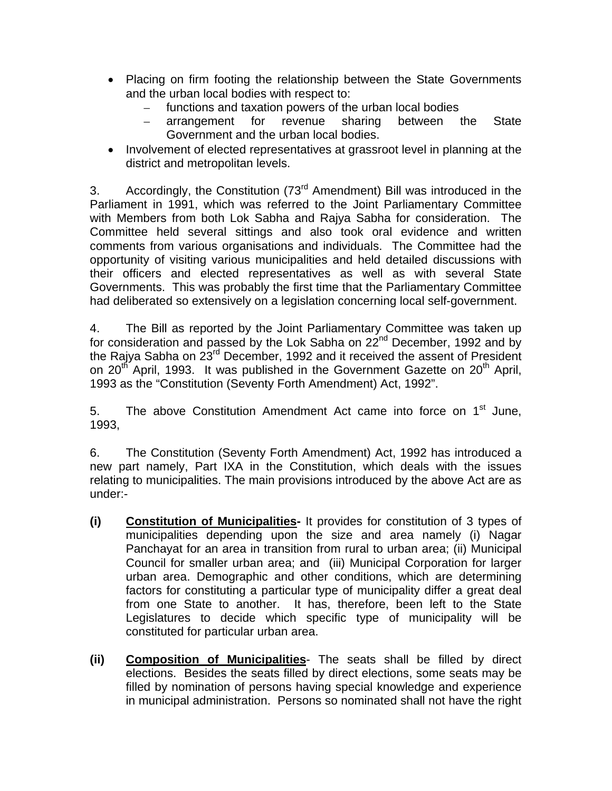- Placing on firm footing the relationship between the State Governments and the urban local bodies with respect to:
	- functions and taxation powers of the urban local bodies
	- arrangement for revenue sharing between the State Government and the urban local bodies.
- Involvement of elected representatives at grassroot level in planning at the district and metropolitan levels.

3. Accordingly, the Constitution  $(73^{rd}$  Amendment) Bill was introduced in the Parliament in 1991, which was referred to the Joint Parliamentary Committee with Members from both Lok Sabha and Rajya Sabha for consideration. The Committee held several sittings and also took oral evidence and written comments from various organisations and individuals. The Committee had the opportunity of visiting various municipalities and held detailed discussions with their officers and elected representatives as well as with several State Governments. This was probably the first time that the Parliamentary Committee had deliberated so extensively on a legislation concerning local self-government.

4. The Bill as reported by the Joint Parliamentary Committee was taken up for consideration and passed by the Lok Sabha on  $22^{nd}$  December, 1992 and by the Rajya Sabha on 23<sup>rd</sup> December, 1992 and it received the assent of President on 20<sup>th</sup> April, 1993. It was published in the Government Gazette on 20<sup>th</sup> April, 1993 as the "Constitution (Seventy Forth Amendment) Act, 1992".

5. The above Constitution Amendment Act came into force on 1<sup>st</sup> June, 1993,

6. The Constitution (Seventy Forth Amendment) Act, 1992 has introduced a new part namely, Part IXA in the Constitution, which deals with the issues relating to municipalities. The main provisions introduced by the above Act are as under:-

- **(i) Constitution of Municipalities-** It provides for constitution of 3 types of municipalities depending upon the size and area namely (i) Nagar Panchayat for an area in transition from rural to urban area; (ii) Municipal Council for smaller urban area; and (iii) Municipal Corporation for larger urban area. Demographic and other conditions, which are determining factors for constituting a particular type of municipality differ a great deal from one State to another. It has, therefore, been left to the State Legislatures to decide which specific type of municipality will be constituted for particular urban area.
- **(ii) Composition of Municipalities** The seats shall be filled by direct elections. Besides the seats filled by direct elections, some seats may be filled by nomination of persons having special knowledge and experience in municipal administration. Persons so nominated shall not have the right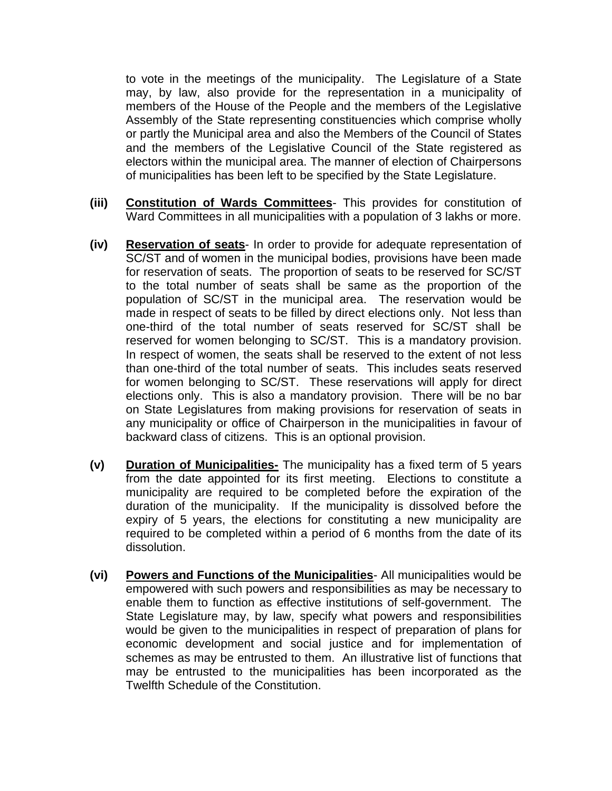to vote in the meetings of the municipality. The Legislature of a State may, by law, also provide for the representation in a municipality of members of the House of the People and the members of the Legislative Assembly of the State representing constituencies which comprise wholly or partly the Municipal area and also the Members of the Council of States and the members of the Legislative Council of the State registered as electors within the municipal area. The manner of election of Chairpersons of municipalities has been left to be specified by the State Legislature.

- **(iii) Constitution of Wards Committees** This provides for constitution of Ward Committees in all municipalities with a population of 3 lakhs or more.
- **(iv) Reservation of seats** In order to provide for adequate representation of SC/ST and of women in the municipal bodies, provisions have been made for reservation of seats. The proportion of seats to be reserved for SC/ST to the total number of seats shall be same as the proportion of the population of SC/ST in the municipal area. The reservation would be made in respect of seats to be filled by direct elections only. Not less than one-third of the total number of seats reserved for SC/ST shall be reserved for women belonging to SC/ST. This is a mandatory provision. In respect of women, the seats shall be reserved to the extent of not less than one-third of the total number of seats. This includes seats reserved for women belonging to SC/ST. These reservations will apply for direct elections only. This is also a mandatory provision. There will be no bar on State Legislatures from making provisions for reservation of seats in any municipality or office of Chairperson in the municipalities in favour of backward class of citizens. This is an optional provision.
- **(v) Duration of Municipalities-** The municipality has a fixed term of 5 years from the date appointed for its first meeting. Elections to constitute a municipality are required to be completed before the expiration of the duration of the municipality. If the municipality is dissolved before the expiry of 5 years, the elections for constituting a new municipality are required to be completed within a period of 6 months from the date of its dissolution.
- **(vi) Powers and Functions of the Municipalities** All municipalities would be empowered with such powers and responsibilities as may be necessary to enable them to function as effective institutions of self-government. The State Legislature may, by law, specify what powers and responsibilities would be given to the municipalities in respect of preparation of plans for economic development and social justice and for implementation of schemes as may be entrusted to them. An illustrative list of functions that may be entrusted to the municipalities has been incorporated as the Twelfth Schedule of the Constitution.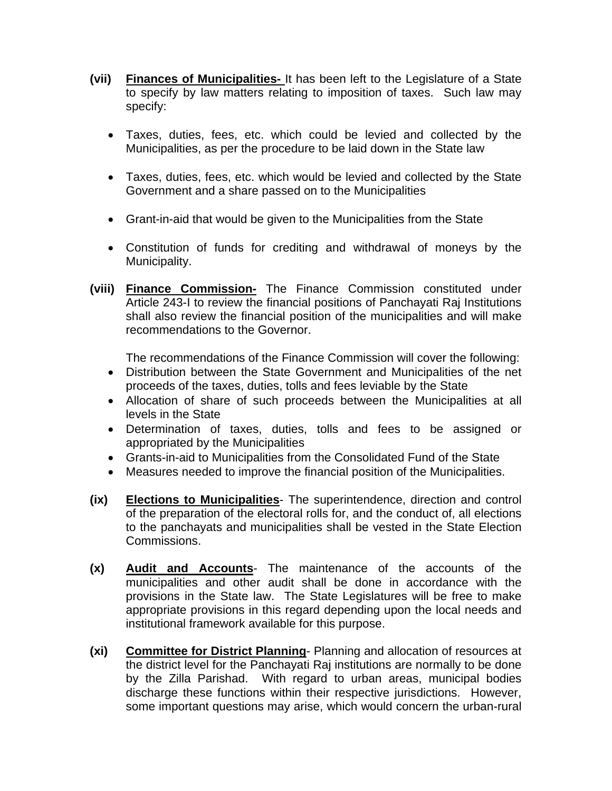- **(vii) Finances of Municipalities-** It has been left to the Legislature of a State to specify by law matters relating to imposition of taxes. Such law may specify:
	- Taxes, duties, fees, etc. which could be levied and collected by the Municipalities, as per the procedure to be laid down in the State law
	- Taxes, duties, fees, etc. which would be levied and collected by the State Government and a share passed on to the Municipalities
	- Grant-in-aid that would be given to the Municipalities from the State
	- Constitution of funds for crediting and withdrawal of moneys by the Municipality.
- **(viii) Finance Commission-** The Finance Commission constituted under Article 243-I to review the financial positions of Panchayati Raj Institutions shall also review the financial position of the municipalities and will make recommendations to the Governor.

The recommendations of the Finance Commission will cover the following:

- Distribution between the State Government and Municipalities of the net proceeds of the taxes, duties, tolls and fees leviable by the State
- Allocation of share of such proceeds between the Municipalities at all levels in the State
- Determination of taxes, duties, tolls and fees to be assigned or appropriated by the Municipalities
- Grants-in-aid to Municipalities from the Consolidated Fund of the State
- Measures needed to improve the financial position of the Municipalities.
- **(ix) Elections to Municipalities** The superintendence, direction and control of the preparation of the electoral rolls for, and the conduct of, all elections to the panchayats and municipalities shall be vested in the State Election Commissions.
- **(x) Audit and Accounts** The maintenance of the accounts of the municipalities and other audit shall be done in accordance with the provisions in the State law. The State Legislatures will be free to make appropriate provisions in this regard depending upon the local needs and institutional framework available for this purpose.
- **(xi) Committee for District Planning** Planning and allocation of resources at the district level for the Panchayati Raj institutions are normally to be done by the Zilla Parishad. With regard to urban areas, municipal bodies discharge these functions within their respective jurisdictions. However, some important questions may arise, which would concern the urban-rural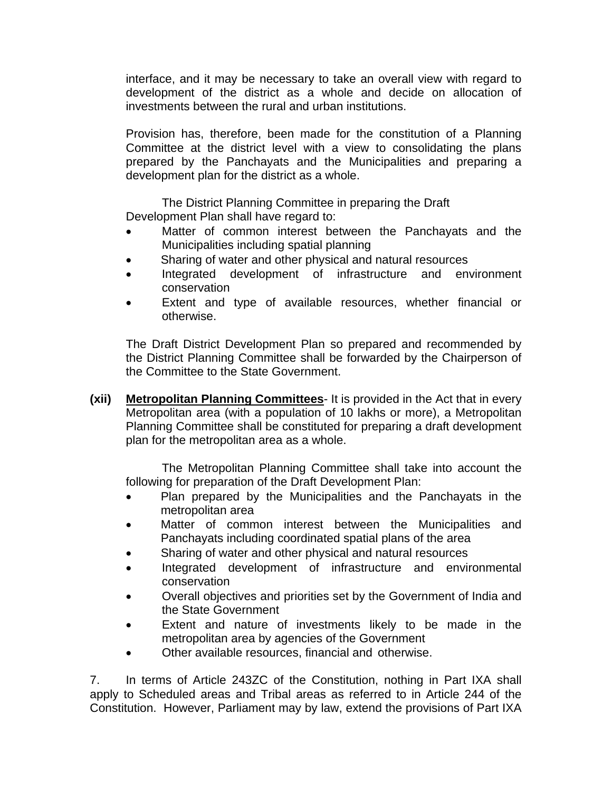interface, and it may be necessary to take an overall view with regard to development of the district as a whole and decide on allocation of investments between the rural and urban institutions.

 Provision has, therefore, been made for the constitution of a Planning Committee at the district level with a view to consolidating the plans prepared by the Panchayats and the Municipalities and preparing a development plan for the district as a whole.

 The District Planning Committee in preparing the Draft Development Plan shall have regard to:

- Matter of common interest between the Panchayats and the Municipalities including spatial planning
- Sharing of water and other physical and natural resources
- Integrated development of infrastructure and environment conservation
- Extent and type of available resources, whether financial or otherwise.

 The Draft District Development Plan so prepared and recommended by the District Planning Committee shall be forwarded by the Chairperson of the Committee to the State Government.

**(xii) Metropolitan Planning Committees**- It is provided in the Act that in every Metropolitan area (with a population of 10 lakhs or more), a Metropolitan Planning Committee shall be constituted for preparing a draft development plan for the metropolitan area as a whole.

 The Metropolitan Planning Committee shall take into account the following for preparation of the Draft Development Plan:

- Plan prepared by the Municipalities and the Panchayats in the metropolitan area
- Matter of common interest between the Municipalities and Panchayats including coordinated spatial plans of the area
- Sharing of water and other physical and natural resources
- Integrated development of infrastructure and environmental conservation
- Overall objectives and priorities set by the Government of India and the State Government
- Extent and nature of investments likely to be made in the metropolitan area by agencies of the Government
- Other available resources, financial and otherwise.

7. In terms of Article 243ZC of the Constitution, nothing in Part IXA shall apply to Scheduled areas and Tribal areas as referred to in Article 244 of the Constitution. However, Parliament may by law, extend the provisions of Part IXA